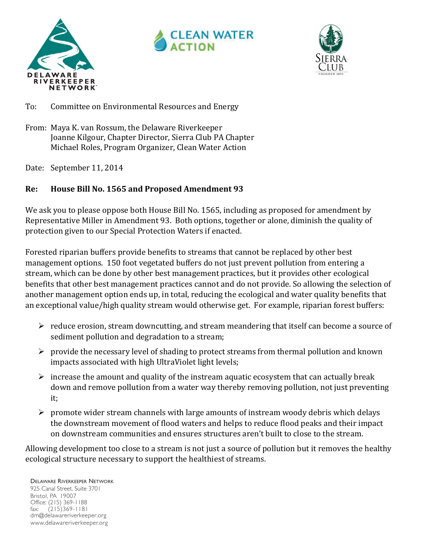





## To: Committee on Environmental Resources and Energy

- From: Maya K. van Rossum, the Delaware Riverkeeper Joanne Kilgour, Chapter Director, Sierra Club PA Chapter Michael Roles, Program Organizer, Clean Water Action
- Date: September 11, 2014

## **Re: House Bill No. 1565 and Proposed Amendment 93**

We ask you to please oppose both House Bill No. 1565, including as proposed for amendment by Representative Miller in Amendment 93. Both options, together or alone, diminish the quality of protection given to our Special Protection Waters if enacted.

Forested riparian buffers provide benefits to streams that cannot be replaced by other best management options. 150 foot vegetated buffers do not just prevent pollution from entering a stream, which can be done by other best management practices, but it provides other ecological benefits that other best management practices cannot and do not provide. So allowing the selection of another management option ends up, in total, reducing the ecological and water quality benefits that an exceptional value/high quality stream would otherwise get. For example, riparian forest buffers:

- $\triangleright$  reduce erosion, stream downcutting, and stream meandering that itself can become a source of sediment pollution and degradation to a stream;
- $\triangleright$  provide the necessary level of shading to protect streams from thermal pollution and known impacts associated with high UltraViolet light levels;
- $\triangleright$  increase the amount and quality of the instream aquatic ecosystem that can actually break down and remove pollution from a water way thereby removing pollution, not just preventing it;
- $\triangleright$  promote wider stream channels with large amounts of instream woody debris which delays the downstream movement of flood waters and helps to reduce flood peaks and their impact on downstream communities and ensures structures aren't built to close to the stream.

Allowing development too close to a stream is not just a source of pollution but it removes the healthy ecological structure necessary to support the healthiest of streams.

DELAWARE RIVERKEEPER NETWORK 925 Canal Street, Suite 3701 Bristol, PA 19007 Office: (215) 369-1188 fax: (215)369-1181 drn@delawareriverkeeper.org www.delawareriverkeeper.org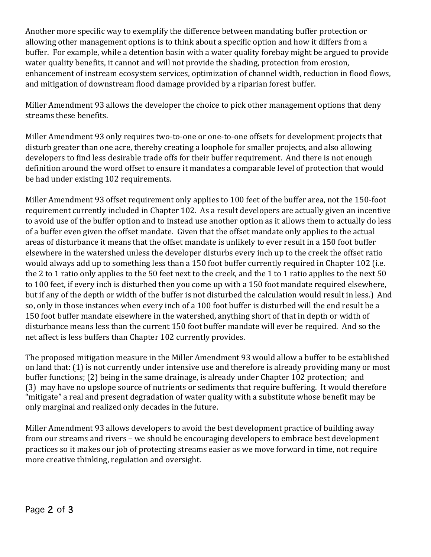Another more specific way to exemplify the difference between mandating buffer protection or allowing other management options is to think about a specific option and how it differs from a buffer. For example, while a detention basin with a water quality forebay might be argued to provide water quality benefits, it cannot and will not provide the shading, protection from erosion, enhancement of instream ecosystem services, optimization of channel width, reduction in flood flows, and mitigation of downstream flood damage provided by a riparian forest buffer.

Miller Amendment 93 allows the developer the choice to pick other management options that deny streams these benefits.

Miller Amendment 93 only requires two-to-one or one-to-one offsets for development projects that disturb greater than one acre, thereby creating a loophole for smaller projects, and also allowing developers to find less desirable trade offs for their buffer requirement. And there is not enough definition around the word offset to ensure it mandates a comparable level of protection that would be had under existing 102 requirements.

Miller Amendment 93 offset requirement only applies to 100 feet of the buffer area, not the 150-foot requirement currently included in Chapter 102. As a result developers are actually given an incentive to avoid use of the buffer option and to instead use another option as it allows them to actually do less of a buffer even given the offset mandate. Given that the offset mandate only applies to the actual areas of disturbance it means that the offset mandate is unlikely to ever result in a 150 foot buffer elsewhere in the watershed unless the developer disturbs every inch up to the creek the offset ratio would always add up to something less than a 150 foot buffer currently required in Chapter 102 (i.e. the 2 to 1 ratio only applies to the 50 feet next to the creek, and the 1 to 1 ratio applies to the next 50 to 100 feet, if every inch is disturbed then you come up with a 150 foot mandate required elsewhere, but if any of the depth or width of the buffer is not disturbed the calculation would result in less.) And so, only in those instances when every inch of a 100 foot buffer is disturbed will the end result be a 150 foot buffer mandate elsewhere in the watershed, anything short of that in depth or width of disturbance means less than the current 150 foot buffer mandate will ever be required. And so the net affect is less buffers than Chapter 102 currently provides.

The proposed mitigation measure in the Miller Amendment 93 would allow a buffer to be established on land that: (1) is not currently under intensive use and therefore is already providing many or most buffer functions; (2) being in the same drainage, is already under Chapter 102 protection; and (3) may have no upslope source of nutrients or sediments that require buffering. It would therefore "mitigate" a real and present degradation of water quality with a substitute whose benefit may be only marginal and realized only decades in the future.

Miller Amendment 93 allows developers to avoid the best development practice of building away from our streams and rivers – we should be encouraging developers to embrace best development practices so it makes our job of protecting streams easier as we move forward in time, not require more creative thinking, regulation and oversight.